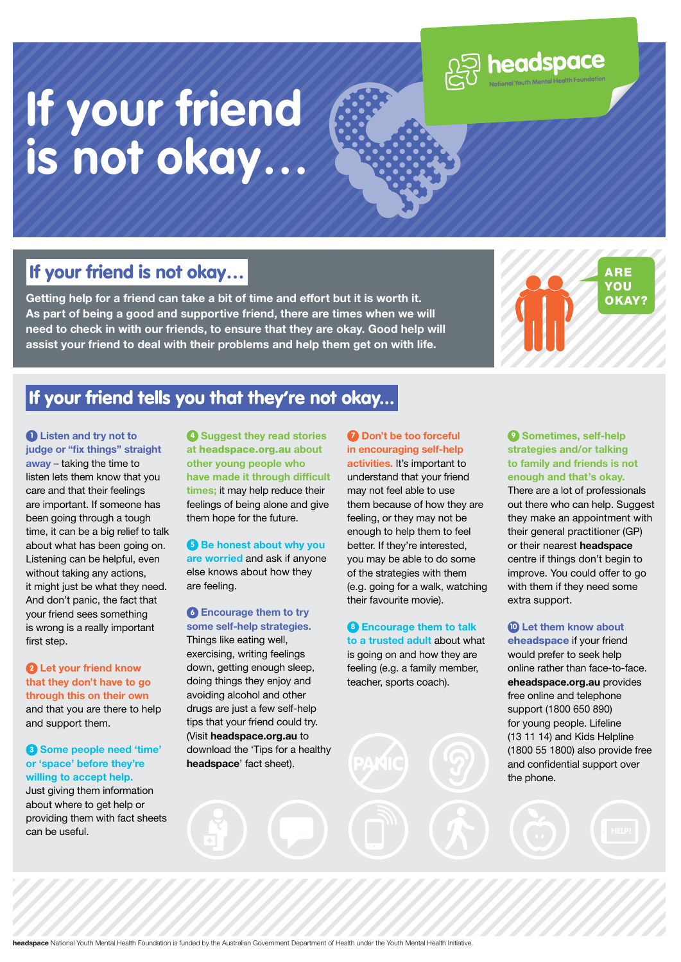

# **If your friend is not okay…**

#### If your friend is not okay…

**Getting help for a friend can take a bit of time and effort but it is worth it. As part of being a good and supportive friend, there are times when we will need to check in with our friends, to ensure that they are okay. Good help will assist your friend to deal with their problems and help them get on with life.** 



### If your friend tells you that they're not okay...

**1 Listen and try not to judge or "fix things" straight away** – taking the time to listen lets them know that you care and that their feelings are important. If someone has been going through a tough time, it can be a big relief to talk about what has been going on. Listening can be helpful, even without taking any actions, it might just be what they need. And don't panic, the fact that your friend sees something is wrong is a really important first step.

**2 Let your friend know that they don't have to go through this on their own** and that you are there to help and support them.

**3 Some people need 'time' or 'space' before they're willing to accept help.**

Just giving them information about where to get help or providing them with fact sheets can be useful.

**4 Suggest they read stories at** headspace.org.au **about other young people who have made it through difficult times;** it may help reduce their feelings of being alone and give them hope for the future.

**6** Be honest about why you **are worried** and ask if anyone else knows about how they are feeling.

**6 Encourage them to try some self-help strategies.** Things like eating well, exercising, writing feelings down, getting enough sleep, doing things they enjoy and avoiding alcohol and other drugs are just a few self-help tips that your friend could try. (Visit **headspace.org.au** to download the 'Tips for a healthy **headspace**' fact sheet).

**7 Don't be too forceful in encouraging self-help activities.** It's important to understand that your friend may not feel able to use them because of how they are feeling, or they may not be enough to help them to feel better. If they're interested, you may be able to do some of the strategies with them (e.g. going for a walk, watching their favourite movie).

**8 Encourage them to talk to a trusted adult** about what is going on and how they are feeling (e.g. a family member, teacher, sports coach).

**9 Sometimes, self-help strategies and/or talking to family and friends is not enough and that's okay.**

There are a lot of professionals out there who can help. Suggest they make an appointment with their general practitioner (GP) or their nearest **headspace** centre if things don't begin to improve. You could offer to go with them if they need some extra support.

**10 Let them know about**  eheadspace if your friend would prefer to seek help online rather than face-to-face. **eheadspace.org.au** provides free online and telephone support (1800 650 890) for young people. Lifeline (13 11 14) and Kids Helpline (1800 55 1800) also provide free and confidential support over the phone.

**headspace** National Youth Mental Health Foundation is funded by the Australian Government Department of Health under the Youth Mental Health Initiative.